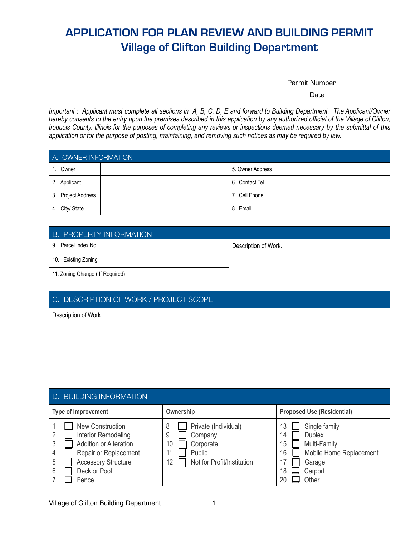| Permit Number l |  |
|-----------------|--|
|                 |  |

and the contract of the contract of the contract of the contract of the contract of the contract of the contract of the contract of the contract of the contract of the contract of the contract of the contract of the contra

*Important : Applicant must complete all sections in A, B, C, D, E and forward to Building Department. The Applicant/Owner hereby consents to the entry upon the premises described in this application by any authorized official of the Village of Clifton, Iroquois County, Illinois for the purposes of completing any reviews or inspections deemed necessary by the submittal of this application or for the purpose of posting, maintaining, and removing such notices as may be required by law.*

| A. OWNER INFORMATION |  |                  |  |
|----------------------|--|------------------|--|
| Owner                |  | 5. Owner Address |  |
| 2. Applicant         |  | 6. Contact Tel   |  |
| 3. Project Address   |  | 7. Cell Phone    |  |
| 4. City/ State       |  | 8. Email         |  |

| <b>B. PROPERTY INFORMATION</b>   |  |                      |  |
|----------------------------------|--|----------------------|--|
| 9. Parcel Index No.              |  | Description of Work. |  |
| 10. Existing Zoning              |  |                      |  |
| 11. Zoning Change ( If Required) |  |                      |  |

#### C. DESCRIPTION OF WORK / PROJECT SCOPE

Description of Work.

| <b>D. BUILDING INFORMATION</b>                                                                                                                                            |                                                                                                                  |                                                                                                                                                   |  |
|---------------------------------------------------------------------------------------------------------------------------------------------------------------------------|------------------------------------------------------------------------------------------------------------------|---------------------------------------------------------------------------------------------------------------------------------------------------|--|
| <b>Type of Improvement</b>                                                                                                                                                | Ownership                                                                                                        | <b>Proposed Use (Residential)</b>                                                                                                                 |  |
| <b>New Construction</b><br>Interior Remodeling<br><b>Addition or Alteration</b><br>Repair or Replacement<br><b>Accessory Structure</b><br>5<br>Deck or Pool<br>6<br>Fence | Private (Individual)<br>8<br>Company<br>9<br>Corporate<br>10<br>Public<br>11<br>Not for Profit/Institution<br>12 | Single family<br>13<br><b>Duplex</b><br>14<br>Multi-Family<br>15<br>Mobile Home Replacement<br>16<br>Garage<br>17<br>Carport<br>18<br>Other<br>20 |  |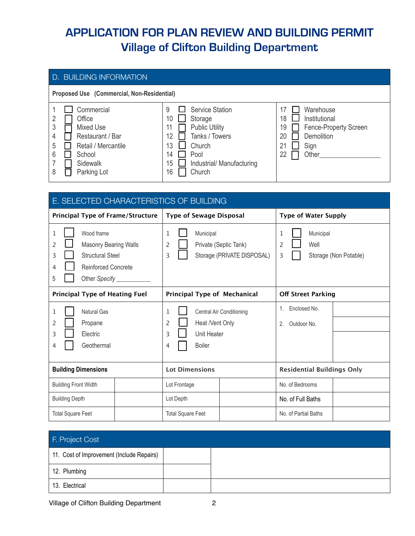| D. BUILDING INFORMATION                                                                                                                    |                                                                                                                                                                                      |                                                                                                                         |  |
|--------------------------------------------------------------------------------------------------------------------------------------------|--------------------------------------------------------------------------------------------------------------------------------------------------------------------------------------|-------------------------------------------------------------------------------------------------------------------------|--|
| Proposed Use (Commercial, Non-Residential)                                                                                                 |                                                                                                                                                                                      |                                                                                                                         |  |
| Commercial<br>Office<br>3<br>Mixed Use<br>Restaurant / Bar<br>4<br>Retail / Mercantile<br>5<br>6<br>School<br>Sidewalk<br>Parking Lot<br>8 | 9<br><b>Service Station</b><br>10<br>Storage<br><b>Public Utility</b><br>11<br>Tanks / Towers<br>12<br>Church<br>13<br>14<br>Pool<br>15<br>Industrial/ Manufacturing<br>Church<br>16 | Warehouse<br>18<br>Institutional<br>Fence-Property Screen<br>19<br>20<br><b>Demolition</b><br>21<br>Sign<br>Other<br>22 |  |

| E. SELECTED CHARACTERISTICS OF BUILDING                                                                                                         |                                                                                                 |                                                           |  |
|-------------------------------------------------------------------------------------------------------------------------------------------------|-------------------------------------------------------------------------------------------------|-----------------------------------------------------------|--|
| <b>Principal Type of Frame/Structure</b>                                                                                                        | <b>Type of Sewage Disposal</b>                                                                  | <b>Type of Water Supply</b>                               |  |
| Wood frame<br>1<br><b>Masonry Bearing Walls</b><br>2<br><b>Structural Steel</b><br>3<br><b>Reinforced Concrete</b><br>4<br>Other Specify _<br>5 | Municipal<br>1<br>Private (Septic Tank)<br>2<br>Storage (PRIVATE DISPOSAL)<br>3                 | Municipal<br>1<br>Well<br>2<br>Storage (Non Potable)<br>3 |  |
| <b>Principal Type of Heating Fuel</b>                                                                                                           | Principal Type of Mechanical                                                                    | <b>Off Street Parking</b>                                 |  |
| <b>Natural Gas</b><br>1<br>Propane<br>2<br>Electric<br>3<br>Geothermal<br>4                                                                     | 1<br>Central Air Conditioning<br>Heat /Vent Only<br>2<br>Unit Heater<br>3<br><b>Boiler</b><br>4 | Enclosed No.<br>1.<br>Outdoor No.<br>2.                   |  |
| <b>Building Dimensions</b>                                                                                                                      | <b>Lot Dimensions</b>                                                                           | <b>Residential Buildings Only</b>                         |  |
| <b>Building Front Width</b>                                                                                                                     | Lot Frontage                                                                                    | No. of Bedrooms                                           |  |
| <b>Building Depth</b>                                                                                                                           | Lot Depth                                                                                       | No. of Full Baths                                         |  |
| <b>Total Square Feet</b>                                                                                                                        | <b>Total Square Feet</b>                                                                        | No. of Partial Baths                                      |  |

| F. Project Cost                           |  |
|-------------------------------------------|--|
| 11. Cost of Improvement (Include Repairs) |  |
| 12. Plumbing                              |  |
| 13. Electrical                            |  |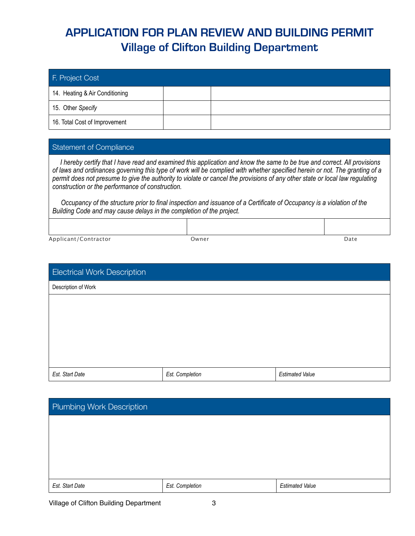| F. Project Cost                |  |
|--------------------------------|--|
| 14. Heating & Air Conditioning |  |
| 15. Other Specify              |  |
| 16. Total Cost of Improvement  |  |

#### Statement of Compliance

 *I hereby certify that I have read and examined this application and know the same to be true and correct. All provisions of laws and ordinances governing this type of work will be complied with whether specified herein or not. The granting of a permit does not presume to give the authority to violate or cancel the provisions of any other state or local law regulating construction or the performance of construction.*

 *Occupancy of the structure prior to final inspection and issuance of a Certificate of Occupancy is a violation of the Building Code and may cause delays in the completion of the project.*

Applicant/Contractor **Date Contractor** Owner Owner **Date** Date

| <b>Electrical Work Description</b> |                 |                        |
|------------------------------------|-----------------|------------------------|
| Description of Work                |                 |                        |
|                                    |                 |                        |
|                                    |                 |                        |
|                                    |                 |                        |
|                                    |                 |                        |
|                                    |                 |                        |
| Est. Start Date                    | Est. Completion | <b>Estimated Value</b> |

| Plumbing Work Description |                 |                        |
|---------------------------|-----------------|------------------------|
|                           |                 |                        |
|                           |                 |                        |
|                           |                 |                        |
|                           |                 |                        |
| Est. Start Date           | Est. Completion | <b>Estimated Value</b> |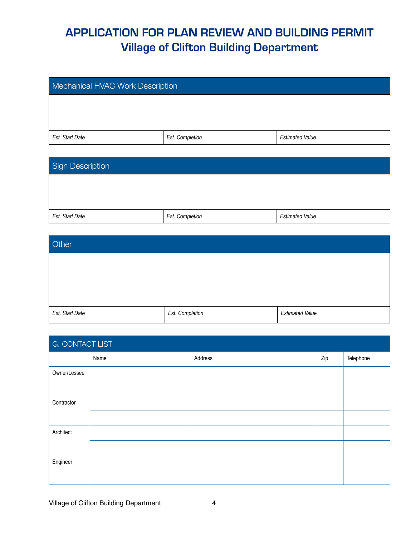| Mechanical HVAC Work Description                             |  |  |
|--------------------------------------------------------------|--|--|
|                                                              |  |  |
|                                                              |  |  |
| Est. Start Date<br>Est. Completion<br><b>Estimated Value</b> |  |  |

| Sign Description |                 |                        |
|------------------|-----------------|------------------------|
|                  |                 |                        |
|                  |                 |                        |
| Est. Start Date  | Est. Completion | <b>Estimated Value</b> |

| Other           |                 |                        |
|-----------------|-----------------|------------------------|
|                 |                 |                        |
|                 |                 |                        |
|                 |                 |                        |
| Est. Start Date | Est. Completion | <b>Estimated Value</b> |

| G. CONTACT LIST |      |         |     |           |  |  |
|-----------------|------|---------|-----|-----------|--|--|
|                 | Name | Address | Zip | Telephone |  |  |
| Owner/Lessee    |      |         |     |           |  |  |
|                 |      |         |     |           |  |  |
| Contractor      |      |         |     |           |  |  |
|                 |      |         |     |           |  |  |
| Architect       |      |         |     |           |  |  |
|                 |      |         |     |           |  |  |
| Engineer        |      |         |     |           |  |  |
|                 |      |         |     |           |  |  |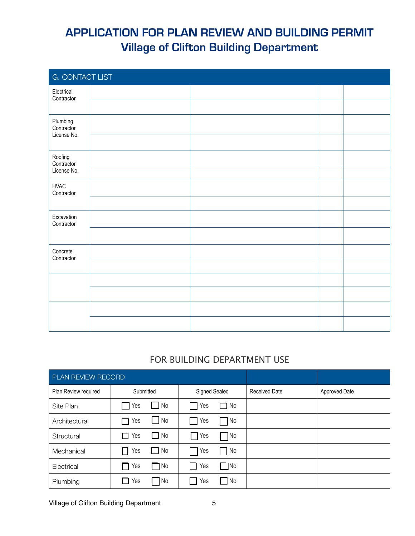| G. CONTACT LIST                       |  |  |  |  |  |  |
|---------------------------------------|--|--|--|--|--|--|
| Electrical<br>Contractor              |  |  |  |  |  |  |
|                                       |  |  |  |  |  |  |
| Plumbing<br>Contractor<br>License No. |  |  |  |  |  |  |
|                                       |  |  |  |  |  |  |
| Roofing<br>Contractor                 |  |  |  |  |  |  |
| License No.                           |  |  |  |  |  |  |
| <b>HVAC</b><br>Contractor             |  |  |  |  |  |  |
|                                       |  |  |  |  |  |  |
| Excavation<br>Contractor              |  |  |  |  |  |  |
|                                       |  |  |  |  |  |  |
| Concrete<br>Contractor                |  |  |  |  |  |  |
|                                       |  |  |  |  |  |  |
|                                       |  |  |  |  |  |  |
|                                       |  |  |  |  |  |  |
|                                       |  |  |  |  |  |  |
|                                       |  |  |  |  |  |  |

#### FOR BUILDING DEPARTMENT USE

| PLAN REVIEW RECORD   |                              |                                   |                      |                      |
|----------------------|------------------------------|-----------------------------------|----------------------|----------------------|
| Plan Review required | Submitted                    | Signed Sealed                     | <b>Received Date</b> | <b>Approved Date</b> |
| Site Plan            | $\Box$ No<br>Yes             | Yes<br>$\Box$ No                  |                      |                      |
| Architectural        | $\Box$ No<br>Yes             | $\Box$ No<br>$\Box$ Yes           |                      |                      |
| Structural           | $\Box$ No<br>$\Gamma$ Yes    | $\blacksquare$ No<br>$\sqcap$ Yes |                      |                      |
| Mechanical           | $\Box$ No<br>$\Box$ Yes      | $\blacksquare$ No<br><b>Nes</b>   |                      |                      |
| Electrical           | $\Box$ No<br>$\Box$ Yes      | $\Box$ No<br>Yes<br>II.           |                      |                      |
| Plumbing             | $\Box$ Yes<br>N <sub>o</sub> | $\blacksquare$ No<br>Yes          |                      |                      |

Village of Clifton Building Department 5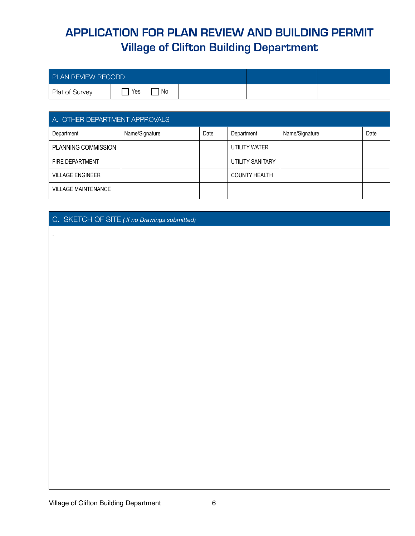| <b>PLAN REVIEW RECORD</b> |     |    |  |  |
|---------------------------|-----|----|--|--|
| Plat of Survey            | Yes | No |  |  |

| A. OTHER DEPARTMENT APPROVALS |                |      |                      |                |      |  |
|-------------------------------|----------------|------|----------------------|----------------|------|--|
| Department                    | Name/Signature | Date | Department           | Name/Signature | Date |  |
| PLANNING COMMISSION           |                |      | UTILITY WATER        |                |      |  |
| <b>FIRE DEPARTMENT</b>        |                |      | UTILITY SANITARY     |                |      |  |
| <b>VILLAGE ENGINEER</b>       |                |      | <b>COUNTY HEALTH</b> |                |      |  |
| <b>VILLAGE MAINTENANCE</b>    |                |      |                      |                |      |  |

#### C. SKETCH OF SITE *( If no Drawings submitted)*

.